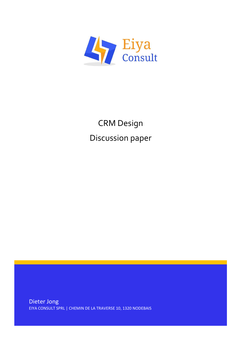

# CRM Design Discussion paper

Dieter Jong EIYA CONSULT SPRL | CHEMIN DE LA TRAVERSE 10, 1320 NODEBAIS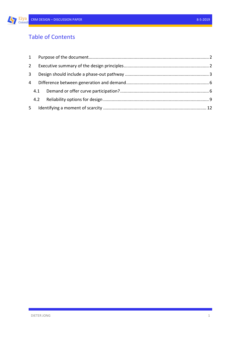## Table of Contents

| $\mathbf{2}$   |     |  |  |
|----------------|-----|--|--|
| 3              |     |  |  |
| 4              |     |  |  |
|                | 4.1 |  |  |
|                |     |  |  |
| 5 <sub>1</sub> |     |  |  |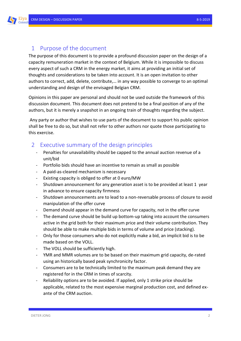#### <span id="page-2-0"></span>1 Purpose of the document

The purpose of this document is to provide a profound discussion paper on the design of a capacity remuneration market in the context of Belgium. While it is impossible to discuss every aspect of such a CRM in the energy market, it aims at providing an initial set of thoughts and considerations to be taken into account. It is an open invitation to other authors to correct, add, delete, contribute,… in any way possible to converge to an optimal understanding and design of the envisaged Belgian CRM.

Opinions in this paper are personal and should not be used outside the framework of this discussion document. This document does not pretend to be a final position of any of the authors, but it is merely a snapshot in an ongoing train of thoughts regarding the subject.

Any party or author that wishes to use parts of the document to support his public opinion shall be free to do so, but shall not refer to other authors nor quote those participating to this exercise.

### <span id="page-2-1"></span>2 Executive summary of the design principles

- Penalties for unavailability should be capped to the annual auction revenue of a unit/bid
- Portfolio bids should have an incentive to remain as small as possible
- A paid-as-cleared mechanism is necessary
- Existing capacity is obliged to offer at 0 euro/MW
- Shutdown announcement for any generation asset is to be provided at least 1 year in advance to ensure capacity firmness
- Shutdown announcements are to lead to a non-reversable process of closure to avoid manipulation of the offer curve
- Demand should appear in the demand curve for capacity, not in the offer curve
- The demand curve should be build up bottom-up taking into account the consumers active in the grid both for their maximum price and their volume contribution. They should be able to make multiple bids in terms of volume and price (stacking).
- Only for those consumers who do not explicitly make a bid, an implicit bid is to be made based on the VOLL.
- The VOLL should be sufficiently high.
- YMR and MMR volumes are to be based on their maximum grid capacity, de-rated using an historically based peak synchronicity factor.
- Consumers are to be technically limited to the maximum peak demand they are registered for in the CRM in times of scarcity.
- Reliability options are to be avoided. If applied, only 1 strike price should be applicable, related to the most expensive marginal production cost, and defined exante of the CRM auction.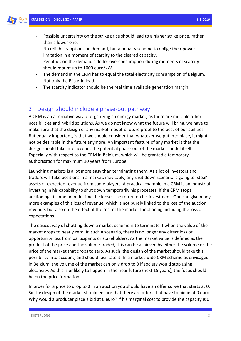

- Possible uncertainty on the strike price should lead to a higher strike price, rather than a lower one.
- No reliability options on demand, but a penalty scheme to oblige their power limitation in a moment of scarcity to the cleared capacity.
- Penalties on the demand side for overconsumption during moments of scarcity should mount up to 1000 euro/kW.
- The demand in the CRM has to equal the total electricity consumption of Belgium. Not only the Elia grid load.
- The scarcity indicator should be the real time available generation margin.

#### <span id="page-3-0"></span>3 Design should include a phase-out pathway

A CRM is an alternative way of organizing an energy market, as there are multiple other possibilities and hybrid solutions. As we do not know what the future will bring, we have to make sure that the design of any market model is future proof to the best of our abilities. But equally important, is that we should consider that whatever we put into place, it might not be desirable in the future anymore. An important feature of any market is that the design should take into account the potential phase-out of the market model itself. Especially with respect to the CRM in Belgium, which will be granted a temporary authorisation for maximum 10 years from Europe.

Launching markets is a lot more easy than terminating them. As a lot of investors and traders will take positions in a market, inevitably, any shut down scenario is going to 'steal' assets or expected revenue from some players. A practical example in a CRM is an industrial investing in his capability to shut down temporarily his processes. If the CRM stops auctioning at some point in time, he looses the return on his investment. One can give many more examples of this loss of revenue, which is not purely linked to the loss of the auction revenue, but also on the effect of the rest of the market functioning including the loss of expectations.

The easiest way of shutting down a market scheme is to terminate it when the value of the market drops to nearly zero. In such a scenario, there is no longer any direct loss or opportunity loss from participants or stakeholders. As the market value is defined as the product of the price and the volume traded, this can be achieved by either the volume or the price of the market that drops to zero. As such, the design of the market should take this possibility into account, and should facilitate it. In a market wide CRM scheme as envisaged in Belgium, the volume of the market can only drop to 0 if society would stop using electricity. As this is unlikely to happen in the near future (next 15 years), the focus should be on the price formation.

In order for a price to drop to 0 in an auction you should have an offer curve that starts at 0. So the design of the market should ensure that there are offers that have to bid in at 0 euro. Why would a producer place a bid at 0 euro? If his marginal cost to provide the capacity is 0,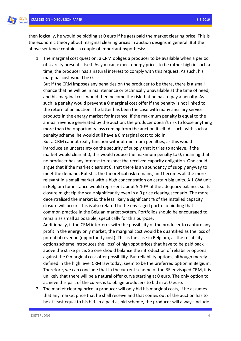Eiya

then logically, he would be bidding at 0 euro if he gets paid the market clearing price. This is the economic theory about marginal clearing prices in auction designs in general. But the above sentence contains a couple of important hypothesis:

1. The marginal cost question: a CRM obliges a producer to be available when a period of scarcity presents itself. As you can expect energy prices to be rather high in such a time, the producer has a natural interest to comply with this request. As such, his marginal cost would be 0.

But if the CRM imposes any penalties on the producer to be there, there is a small chance that he will be in maintenance or technically unavailable at the time of need, and his marginal cost would then become the risk that he has to pay a penalty. As such, a penalty would prevent a 0 marginal cost offer if the penalty is not linked to the return of an auction. The latter has been the case with many ancillary service products in the energy market for instance. If the maximum penalty is equal to the annual revenue generated by the auction, the producer doesn't risk to loose anything more than the opportunity loss coming from the auction itself. As such, with such a penalty scheme, he would still have a 0 marginal cost to bid in.

But a CRM cannot really function without minimum penalties, as this would introduce an uncertainty on the security of supply that it tries to achieve. If the market would clear at 0, this would reduce the maximum penalty to 0, meaning that no producer has any interest to respect the received capacity obligation. One could argue that if the market clears at 0, that there is an abundancy of supply anyway to meet the demand. But still, the theoretical risk remains, and becomes all the more relevant in a small market with a high concentration on certain big units. A 1 GW unit in Belgium for instance would represent about 5-10% of the adequacy balance, so its closure might tip the scale significantly even in a 0 price clearing scenario. The more decentralised the market is, the less likely a significant % of the installed capacity closure will occur. This is also related to the envisaged portfolio bidding that is common practice in the Belgian market system. Portfolios should be encouraged to remain as small as possible, specifically for this purpose.

Additionally, if the CRM interferes with the possibility of the producer to capture any profit in the energy only market, the marginal cost would be quantified as the loss of potential revenue (opportunity cost). This is the case in Belgium, as the reliability options scheme introduces the 'loss' of high spot prices that have to be paid back above the strike price. So one should balance the introduction of reliability options against the 0 marginal cost offer possibility. But reliability options, although merely defined in the high level CRM law today, seem to be the preferred option in Belgium. Therefore, we can conclude that in the current scheme of the BE envisaged CRM, it is unlikely that there will be a natural offer curve starting at 0 euro. The only option to achieve this part of the curve, is to oblige producers to bid in at 0 euro.

2. The market clearing price: a producer will only bid his marginal costs, if he assumes that any market price that he shall receive and that comes out of the auction has to be at least equal to his bid. In a paid as bid scheme, the producer will always include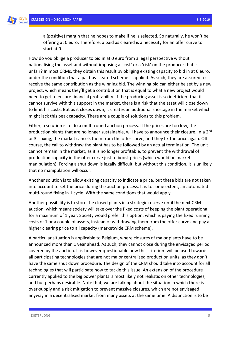a (positive) margin that he hopes to make if he is selected. So naturally, he won't be offering at 0 euro. Therefore, a paid as cleared is a necessity for an offer curve to start at 0.

How do you oblige a producer to bid in at 0 euro from a legal perspective without nationalising the asset and without imposing a 'cost' or a 'risk' on the producer that is unfair? In most CRMs, they obtain this result by obliging existing capacity to bid in at 0 euro, under the condition that a paid-as-cleared scheme is applied. As such, they are assured to receive the same contribution as the winning bid. The winning bid can either be set by a new project, which means they'll get a contribution that is equal to what a new project would need to get to ensure financial profitability. If the producing asset is so inefficient that it cannot survive with this support in the market, there is a risk that the asset will close down to limit his costs. But as it closes down, it creates an additional shortage in the market which might lack this peak capacity. There are a couple of solutions to this problem.

Either, a solution is to do a multi-round auction process. If the prices are too low, the production plants that are no longer sustainable, will have to announce their closure. In a 2<sup>nd</sup> or 3<sup>rd</sup> fixing, the market cancels them from the offer curve, and they fix the price again. Off course, the call to withdraw the plant has to be followed by an actual termination. The unit cannot remain in the market, as it is no longer profitable, to prevent the withdrawal of production capacity in the offer curve just to boost prices (which would be market manipulation). Forcing a shut down is legally difficult, but without this condition, it is unlikely that no manipulation will occur.

Another solution is to allow existing capacity to indicate a price, but these bids are not taken into account to set the price during the auction process. It is to some extent, an automated multi-round fixing in 1 cycle. With the same conditions that would apply.

Another possibility is to store the closed plants in a strategic reserve until the next CRM auction, which means society will take over the fixed costs of keeping the plant operational for a maximum of 1 year. Society would prefer this option, which is paying the fixed running costs of 1 or a couple of assets, instead of withdrawing them from the offer curve and pay a higher clearing price to all capacity (marketwide CRM scheme).

A particular situation is applicable to Belgium, where closures of major plants have to be announced more than 1 year ahead. As such, they cannot close during the envisaged period covered by the auction. It is however questionable how this criterium will be used towards all participating technologies that are not major centralised production units, as they don't have the same shut down procedure. The design of the CRM should take into account for all technologies that will participate how to tackle this issue. An extension of the procedure currently applied to the big power plants is most likely not realistic on other technologies, and but perhaps desirable. Note that, we are talking about the situation in which there is over-supply and a risk mitigation to prevent massive closures, which are not envisaged anyway in a decentralised market from many assets at the same time. A distinction is to be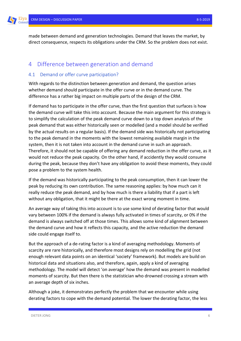made between demand and generation technologies. Demand that leaves the market, by direct consequence, respects its obligations under the CRM. So the problem does not exist.

#### <span id="page-6-0"></span>4 Difference between generation and demand

#### <span id="page-6-1"></span>4.1 Demand or offer curve participation?

With regards to the distinction between generation and demand, the question arises whether demand should participate in the offer curve or in the demand curve. The difference has a rather big impact on multiple parts of the design of the CRM.

If demand has to participate in the offer curve, than the first question that surfaces is how the demand curve will take this into account. Because the main argument for this strategy is to simplify the calculation of the peak demand curve down to a top down analysis of the peak demand that was either historically seen or modelled (and a model should be verified by the actual results on a regular basis). If the demand side was historically not participating to the peak demand in the moments with the lowest remaining available margin in the system, then it is not taken into account in the demand curve in such an approach. Therefore, it should not be capable of offering any demand reduction in the offer curve, as it would not reduce the peak capacity. On the other hand, if accidently they would consume during the peak, because they don't have any obligation to avoid these moments, they could pose a problem to the system health.

If the demand was historically participating to the peak consumption, then it can lower the peak by reducing its own contribution. The same reasoning applies: by how much can it really reduce the peak demand, and by how much is there a liability that if a part is left without any obligation, that it might be there at the exact wrong moment in time.

An average way of taking this into account is to use some kind of derating factor that would vary between 100% if the demand is always fully activated in times of scarcity, or 0% if the demand is always switched off at those times. This allows some kind of alignment between the demand curve and how it reflects this capacity, and the active reduction the demand side could engage itself to.

But the approach of a de-rating factor is a kind of averaging methodology. Moments of scarcity are rare historically, and therefore most designs rely on modelling the grid (not enough relevant data points on an identical 'society' framework). But models are build on historical data and situations also, and therefore, again, apply a kind of averaging methodology. The model will detect 'on average' how the demand was present in modelled moments of scarcity. But then there is the statistician who drowned crossing a stream with an average depth of six inches.

Although a joke, it demonstrates perfectly the problem that we encounter while using derating factors to cope with the demand potential. The lower the derating factor, the less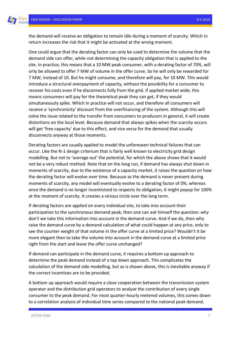the demand will receive an obligation to remain idle during a moment of scarcity. Which in return increases the risk that it might be activated at the wrong moment.

One could argue that the derating factor can only be used to determine the volume that the demand side can offer, while not determining the capacity obligation that is applied to the site. In practice, this means that a 10 MW peak consumer, with a derating factor of 70%, will only be allowed to offer 7 MW of volume in the offer curve. So he will only be rewarded for 7 MW, instead of 10. But he might consume, and therefore will pay, for 10 MW. This would introduce a structural overpayment of capacity, without the possibility for a consumer to recover his costs even if he disconnects fully from the grid. If applied market wide, this means consumers will pay for the theoretical peak they can get, if they would simultaneously spike. Which in practice will not occur, and therefore all consumers will receive a 'synchronicity' discount from the overfinancing of the system. Although this will solve the issue related to the transfer from consumers to producers in general, it will create distortions on the local level. Because demand that always spikes when the scarcity occurs will get 'free capacity' due to this effect, and vice versa for the demand that usually disconnects anyway at those moments.

Derating factors are usually applied to model the unforeseen technical failures that can occur. Like the N-1 design criterium that is fairly well known to electricity grid design modelling. But not to 'average out' the potential, for which the above shows that it would not be a very robust method. Note that on the long run, if demand has always shut down in moments of scarcity, due to the existence of a capacity market, it raises the question on how the derating factor will evolve over time. Because as the demand is never present during moments of scarcity, any model will eventually evolve to a derating factor of 0%, whereas once the demand is no longer incentivized to respects its obligation, it might popup for 100% at the moment of scarcity. It creates a vicious circle over the long term.

If derating factors are applied on every individual site, to take into account their participation to the synchronous demand peak, then one can ask himself the question: why don't we take this information into account in the demand curve. And if we do, then why raise the demand curve by a demand calculation of what could happen at any price, only to see the counter weight of that volume in the offer curve at a limited price? Wouldn't it be more elegant then to take the volume into account in the demand curve at a limited price right from the start and leave the offer curve unchanged?

If demand can participate in the demand curve, it requires a bottom up approach to determine the peak demand instead of a top down approach. This complicates the calculation of the demand side modelling, but as is shown above, this is inevitable anyway if the correct incentives are to be provided.

A bottom up approach would require a close cooperation between the transmission system operator and the distribution grid operators to analyse the contribution of every single consumer to the peak demand. For most quarter-hourly metered volumes, this comes down to a correlation analysis of individual time series compared to the national peak demand.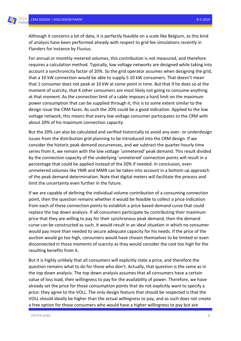Although it concerns a lot of data, it is perfectly feasible on a scale like Belgium, as this kind of analysis have been performed already with respect to grid fee simulations recently in Flanders for instance by Fluvius.

For annual or monthly metered volumes, this contribution is not measured, and therefore requires a calculation method. Typically, low voltage networks are designed while taking into account a synchronicity factor of 20%. So the grid operator assumes when designing the grid, that a 10 kW connection would be able to supply 5 10 kW consumers. That doesn't mean that 1 consumer does not peak at 10 kW at some point in time. But that if he does so at the moment of scarcity, that 4 other consumers are most likely not going to consume anything at that moment. As the connection limit of a cable imposes a hard limit on the maximum power consumption that can be supplied through it, this is to some extent similar to the design issue the CRM faces. As such the 20% could be a good indication. Applied to the low voltage network, this means that every low voltage consumer participates to the CRM with about 20% of his maximum connection capacity.

But the 20% can also be calculated and verified historically to avoid any over- or underdesign issues from the distribution grid planning to be introduced into the CRM design. If we consider the historic peak demand occurrences, and we subtract the quarter-hourly time series from it, we remain with the low voltage 'unmetered' peak demand. This result divided by the connection capacity of the underlying 'unmetered' connection points will result in a percentage that could be applied instead of the 20% if needed. In conclusion, even unmetered volumes like YMR and MMR can be taken into account in a bottom up approach of the peak demand determination. Note that digital meters will facilitate the process and limit the uncertainty even further in the future.

If we are capable of defining the individual volume contribution of a consuming connection point, then the question remains whether it would be feasible to collect a price indication from each of these connection points to establish a price based demand curve that could replace the top down analysis. If all consumers participate by contributing their maximum price that they are willing to pay for their synchronous peak demand, then the demand curve can be constructed as such. It would result in an ideal situation in which no consumer would pay more than needed to secure adequate capacity for his needs. If the price of the auction would go too high, consumers would have chosen themselves to be limited or even disconnected in those moments of scarcity as they would consider the cost too high for the resulting benefits from it.

But it is highly unlikely that all consumers will explicitly state a price, and therefore the question remains what to do for those who don't. Actually, that question is the same as in the top down analysis. The top down analysis assumes that all consumers have a certain value of loss load, their willingness to pay for the availability of power. Therefore, we have already set the price for those consumption points that do not explicitly want to specify a price: they agree to the VOLL. The only design feature that should be respected is that the VOLL should ideally be higher than the actual willingness to pay, and as such does not create a free option for those consumers who would have a higher willingness to pay but are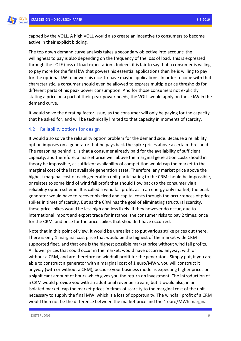capped by the VOLL. A high VOLL would also create an incentive to consumers to become active in their explicit bidding.

The top down demand curve analysis takes a secondary objective into account: the willingness to pay is also depending on the frequency of the loss of load. This is expressed through the LOLE (loss of load expectation). Indeed, it is fair to say that a consumer is willing to pay more for the final kW that powers his essential applications then he is willing to pay for the optional kW to power his nice-to-have maybe applications. In order to cope with that characteristic, a consumer should even be allowed to express multiple price thresholds for different parts of his peak power consumption. And for those consumers not explicitly stating a price on a part of their peak power needs, the VOLL would apply on those kW in the demand curve.

It would solve the derating factor issue, as the consumer will only be paying for the capacity that he asked for, and will be technically limited to that capacity in moments of scarcity.

#### <span id="page-9-0"></span>4.2 Reliability options for design

It would also solve the reliability option problem for the demand side. Because a reliability option imposes on a generator that he pays back the spike prices above a certain threshold. The reasoning behind it, is that a consumer already paid for the availability of sufficient capacity, and therefore, a market price well above the marginal generation costs should in theory be impossible, as sufficient availability of competition would cap the market to the marginal cost of the last available generation asset. Therefore, any market price above the highest marginal cost of each generation unit participating to the CRM should be impossible, or relates to some kind of wind fall profit that should flow back to the consumer via a reliability option scheme. It is called a wind fall profit, as in an energy only market, the peak generator would have to recover his fixed and capital costs through the occurrences of price spikes in times of scarcity. But as the CRM has the goal of eliminating structural scarcity, these price spikes would be less high and less likely. If they however do occur, due to international import and export trade for instance, the consumer risks to pay 2 times: once for the CRM, and once for the price spikes that shouldn't have occurred.

Note that in this point of view, it would be unrealistic to put various strike prices out there. There is only 1 marginal cost price that would be the highest of the market wide CRM supported fleet, and that one is the highest possible market price without wind fall profits. All lower prices that could occur in the market, would have occurred anyway, with or without a CRM, and are therefore no windfall profit for the generators. Simply put, if you are able to construct a generator with a marginal cost of 1 euro/MWh, you will construct it anyway (with or without a CRM), because your business model is expecting higher prices on a significant amount of hours which gives you the return on investment. The introduction of a CRM would provide you with an additional revenue stream, but it would also, in an isolated market, cap the market prices in times of scarcity to the marginal cost of the unit necessary to supply the final MW, which is a loss of opportunity. The windfall profit of a CRM would then not be the difference between the market price and the 1 euro/MWh marginal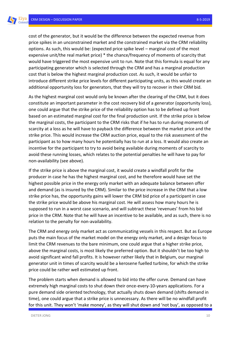cost of the generator, but it would be the difference between the expected revenue from price spikes in an unconstrained market and the constrained market via the CRM reliability options. As such, this would be: (expected price spike level – marginal cost of the most expensive unit/the real market price) \* the chance/frequency of moments of scarcity that would have triggered the most expensive unit to run. Note that this formula is equal for any participating generator which is selected through the CRM and has a marginal production cost that is below the highest marginal production cost. As such, it would be unfair to introduce different strike price levels for different participating units, as this would create an additional opportunity loss for generators, that they will try to recover in their CRM bid.

As the highest marginal cost would only be known after the clearing of the CRM, but it does constitute an important parameter in the cost recovery bid of a generator (opportunity loss), one could argue that the strike price of the reliability option has to be defined up front based on an estimated marginal cost for the final production unit. If the strike price is below the marginal costs, the participant to the CRM risks that if he has to run during moments of scarcity at a loss as he will have to payback the difference between the market price and the strike price. This would increase the CRM auction price, equal to the risk assessment of the participant as to how many hours he potentially has to run at a loss. It would also create an incentive for the participant to try to avoid being available during moments of scarcity to avoid these running losses, which relates to the potential penalties he will have to pay for non-availability (see above).

If the strike price is above the marginal cost, it would create a windfall profit for the producer in case he has the highest marginal cost, and he therefore would have set the highest possible price in the energy only market with an adequate balance between offer and demand (as is insured by the CRM). Similar to the price increase in the CRM that a low strike price has, the opportunity gains will lower the CRM bid price of a participant in case the strike price would be above his marginal cost. He will assess how many hours he is supposed to run in a worst case scenario, and will subtract these 'revenues' from his bid price in the CRM. Note that he will have an incentive to be available, and as such, there is no relation to the penalty for non-availability.

The CRM and energy only market act as communicating vessels in this respect. But as Europe puts the main focus of the market model on the energy only market, and a design focus to limit the CRM revenues to the bare minimum, one could argue that a higher strike price, above the marginal costs, is most likely the preferred option. But it shouldn't be too high to avoid significant wind fall profits. It is however rather likely that in Belgium, our marginal generator unit in times of scarcity would be a kerosene fuelled turbine, for which the strike price could be rather well estimated up front.

The problem starts when demand is allowed to bid into the offer curve. Demand can have extremely high marginal costs to shut down their once-every-10-years applications. For a pure demand side oriented technology, that actually shuts down demand (shifts demand in time), one could argue that a strike price is unnecessary. As there will be no windfall profit for this unit. They won't 'make money', as they will shut down and 'not buy', as opposed to a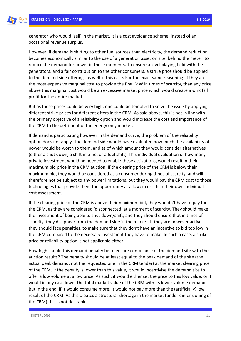generator who would 'sell' in the market. It is a cost avoidance scheme, instead of an occasional revenue surplus.

However, if demand is shifting to other fuel sources than electricity, the demand reduction becomes economically similar to the use of a generation asset on site, behind the meter, to reduce the demand for power in those moments. To ensure a level playing field with the generators, and a fair contribution to the other consumers, a strike price should be applied to the demand side offerings as well in this case. For the exact same reasoning: if they are the most expensive marginal cost to provide the final MW in times of scarcity, than any price above this marginal cost would be an excessive market price which would create a windfall profit for the entire market.

But as these prices could be very high, one could be tempted to solve the issue by applying different strike prices for different offers in the CRM. As said above, this is not in line with the primary objective of a reliability option and would increase the cost and importance of the CRM to the detriment of the energy only market.

If demand is participating however in the demand curve, the problem of the reliability option does not apply. The demand side would have evaluated how much the availability of power would be worth to them, and as of which amount they would consider alternatives (either a shut down, a shift in time, or a fuel shift). This individual evaluation of how many private investment would be needed to enable these activations, would result in their maximum bid price in the CRM auction. If the clearing price of the CRM is below their maximum bid, they would be considered as a consumer during times of scarcity, and will therefore not be subject to any power limitations, but they would pay the CRM cost to those technologies that provide them the opportunity at a lower cost than their own individual cost assessment.

If the clearing price of the CRM is above their maximum bid, they wouldn't have to pay for the CRM, as they are considered 'disconnected' at a moment of scarcity. They should make the investment of being able to shut down/shift, and they should ensure that in times of scarcity, they disappear from the demand side in the market. If they are however active, they should face penalties, to make sure that they don't have an incentive to bid too low in the CRM compared to the necessary investment they have to make. In such a case, a strike price or reliability option is not applicable either.

How high should this demand penalty be to ensure compliance of the demand site with the auction results? The penalty should be at least equal to the peak demand of the site (the actual peak demand, not the requested one in the CRM tender) at the market clearing price of the CRM. If the penalty is lower than this value, it would incentivise the demand site to offer a low volume at a low price. As such, it would either set the price to this low value, or it would in any case lower the total market value of the CRM with its lower volume demand. But in the end, if it would consume more, it would not pay more than the (artificially) low result of the CRM. As this creates a structural shortage in the market (under dimensioning of the CRM) this is not desirable.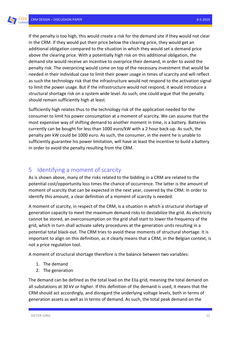If the penalty is too high, this would create a risk for the demand site if they would not clear in the CRM. If they would put their price below the clearing price, they would get an additional obligation compared to the situation in which they would set a demand price above the clearing price. With a potentially high risk on this additional obligation, the demand site would receive an incentive to overprice their demand, in order to avoid the penalty risk. The overpricing would come on top of the necessary investment that would be needed in their individual case to limit their power usage in times of scarcity and will reflect as such the technology risk that the infrastructure would not respond to the activation signal to limit the power usage. But if the infrastructure would not respond, it would introduce a structural shortage risk on a system wide level. As such, one could argue that the penalty should remain sufficiently high at least.

Sufficiently high relates thus to the technology risk of the application needed for the consumer to limit his power consumption at a moment of scarcity. We can assume that the most expensive way of shifting demand to another moment in time, is a battery. Batteries currently can be bought for less than 1000 euro/kW with a 2 hour back-up. As such, the penalty per kW could be 1000 euro. As such, the consumer, in the event he is unable to sufficiently guarantee his power limitation, will have at least the incentive to build a battery in order to avoid the penalty resulting from the CRM.

#### <span id="page-12-0"></span>5 Identifying a moment of scarcity

As is shown above, many of the risks related to the bidding in a CRM are related to the potential cost/opportunity loss times the chance of occurrence. The latter is the amount of moment of scarcity that can be expected in the next year, covered by the CRM. In order to identify this amount, a clear definition of a moment of scarcity is needed.

A moment of scarcity, in respect of the CRM, is a situation in which a structural shortage of generation capacity to meet the maximum demand risks to destabilize the grid. As electricity cannot be stored, an overconsumption on the grid shall start to lower the frequency of the grid, which in turn shall activate safety procedures at the generation units resulting in a potential total black-out. The CRM tries to avoid these moments of structural shortage. It is important to align on this definition, as it clearly means that a CRM, in the Belgian context, is not a price regulation tool.

A moment of structural shortage therefore is the balance between two variables:

- 1. The demand
- 2. The generation

The demand can be defined as the total load on the Elia grid, meaning the total demand on all substations at 30 kV or higher. If this definition of the demand is used, it means that the CRM should act accordingly, and disregard the underlying voltage levels, both in terms of generation assets as well as in terms of demand. As such, the total peak demand on the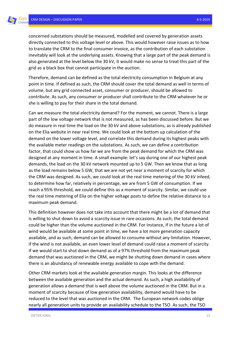concerned substations should be measured, modelled and covered by generation assets directly connected to this voltage level or above. This would however raise issues as to how to translate the CRM to the final consumer invoice, as the contribution of each substation inevitably will look at the underlying assets. Knowing that a large part of the peak demand is also generated at the level below the 30 kV, it would make no sense to treat this part of the grid as a black box that cannot participate in the auction.

Therefore, demand can be defined as the total electricity consumption in Belgium at any point in time. If defined as such, the CRM should cover the total demand as well in terms of volume, but any grid connected asset, consumer or producer, should be allowed to contribute. As such, any consumer or producer shall contribute to the CRM whatever he or she is willing to pay for their share in the total demand.

Can we measure the total electricity demand? For the moment, we cannot. There is a large part of the low voltage network that is not measured, as has been discussed before. But we do measure in real time the load on the 30 kV and above substations, as is already published on the Elia website in near real time. We could look at the bottom up calculation of the demand on the lower voltage level, and correlate this demand during its highest peaks with the available meter readings on the substations. As such, we can define a contribution factor, that could show us how far we are from the peak demand for which the CRM was designed at any moment in time. A small example: let's say during one of our highest peak demands, the load on the 30 kV network mounted up to 5 GW. Then we know that as long as the load remains below 5 GW, that we are not yet near a moment of scarcity for which the CRM was designed. As such, we could look at the real time metering of the 30 kV infeed, to determine how far, relatively in percentage, we are from 5 GW of consumption. If we reach a 95% threshold, we could define this as a moment of scarcity. Similar, we could use the real time metering of Elia on the higher voltage posts to define the relative distance to a maximum peak demand.

This definition however does not take into account that there might be a lot of demand that is willing to shut down to avoid a scarcity issue in rare occasions. As such, the total demand could be higher than the volume auctioned in the CRM. For instance, if in the future a lot of wind would be available at some point in time, we have a lot more generation capacity available, and as such, demand can be allowed to consume without any limitation. However, if the wind is not available, an even lower level of demand could raise a moment of scarcity. If we would start to shut down demand as of a 97% threshold from the maximum peak demand that was auctioned in the CRM, we might be shutting down demand in cases where there is an abundancy of renewable energy available to cope with the demand.

Other CRM markets look at the available generation margin. This looks at the difference between the available generation and the actual demand. As such, a high availability of generation allows a demand that is well above the volume auctioned in the CRM. But in a moment of scarcity because of low generation availability, demand would have to be reduced to the level that was auctioned in the CRM. The European network codes oblige nearly all generation units to provide an availability schedule to the TSO. As such, the TSO